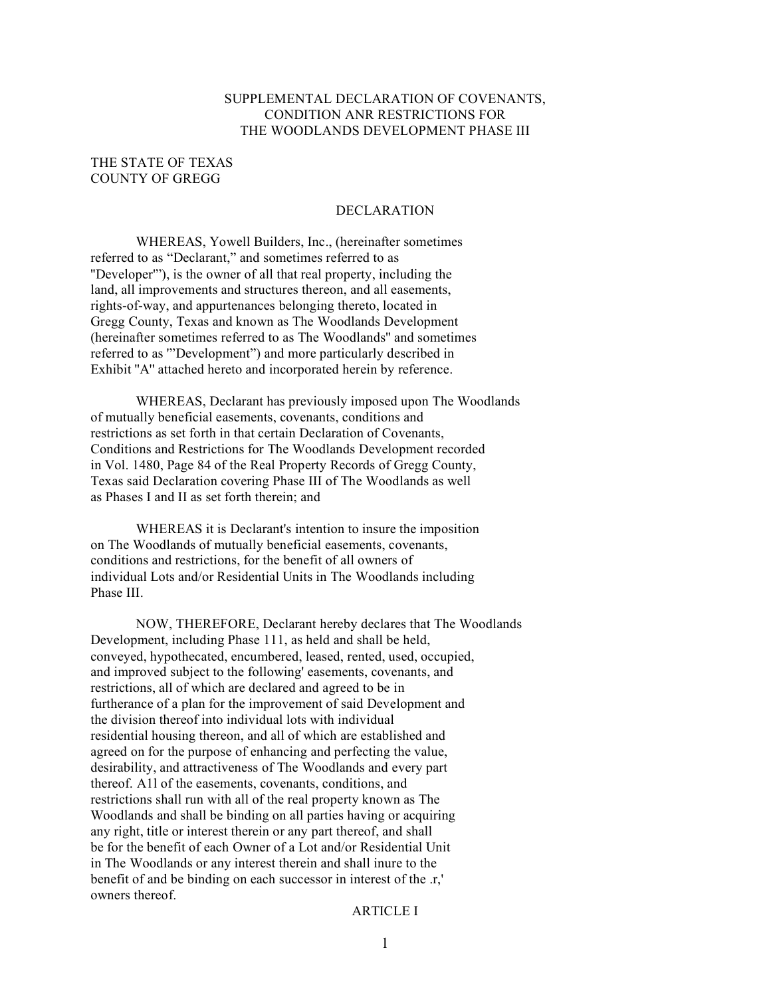# SUPPLEMENTAL DECLARATION OF COVENANTS, CONDITION ANR RESTRICTIONS FOR THE WOODLANDS DEVELOPMENT PHASE III

## THE STATE OF TEXAS COUNTY OF GREGG

## DECLARATION

WHEREAS, Yowell Builders, Inc., (hereinafter sometimes referred to as "Declarant," and sometimes referred to as ''Developer'"), is the owner of all that real property, including the land, all improvements and structures thereon, and all easements, rights-of-way, and appurtenances belonging thereto, located in Gregg County, Texas and known as The Woodlands Development (hereinafter sometimes referred to as The Woodlands'' and sometimes referred to as '"Development") and more particularly described in Exhibit ''A'' attached hereto and incorporated herein by reference.

WHEREAS, Declarant has previously imposed upon The Woodlands of mutually beneficial easements, covenants, conditions and restrictions as set forth in that certain Declaration of Covenants, Conditions and Restrictions for The Woodlands Development recorded in Vol. 1480, Page 84 of the Real Property Records of Gregg County, Texas said Declaration covering Phase III of The Woodlands as well as Phases I and II as set forth therein; and

WHEREAS it is Declarant's intention to insure the imposition on The Woodlands of mutually beneficial easements, covenants, conditions and restrictions, for the benefit of all owners of individual Lots and/or Residential Units in The Woodlands including Phase III.

NOW, THEREFORE, Declarant hereby declares that The Woodlands Development, including Phase 111, as held and shall be held, conveyed, hypothecated, encumbered, leased, rented, used, occupied, and improved subject to the following' easements, covenants, and restrictions, all of which are declared and agreed to be in furtherance of a plan for the improvement of said Development and the division thereof into individual lots with individual residential housing thereon, and all of which are established and agreed on for the purpose of enhancing and perfecting the value, desirability, and attractiveness of The Woodlands and every part thereof. A1l of the easements, covenants, conditions, and restrictions shall run with all of the real property known as The Woodlands and shall be binding on all parties having or acquiring any right, title or interest therein or any part thereof, and shall be for the benefit of each Owner of a Lot and/or Residential Unit in The Woodlands or any interest therein and shall inure to the benefit of and be binding on each successor in interest of the .r,' owners thereof.

## ARTICLE I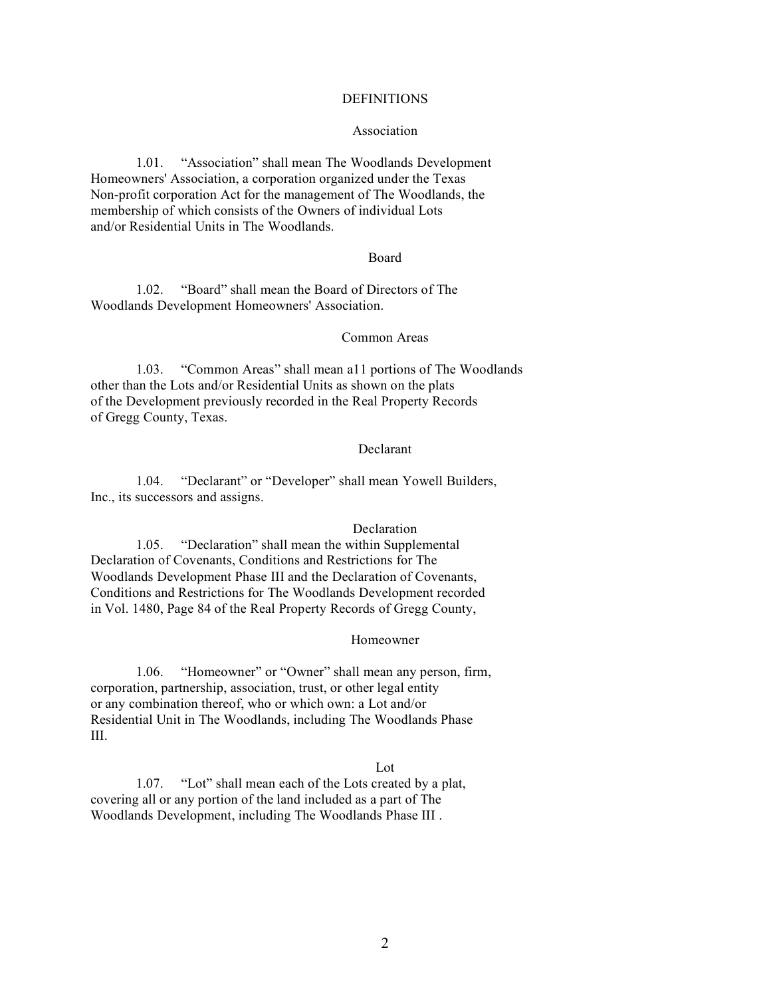# **DEFINITIONS**

### Association

1.01. "Association" shall mean The Woodlands Development Homeowners' Association, a corporation organized under the Texas Non-profit corporation Act for the management of The Woodlands, the membership of which consists of the Owners of individual Lots and/or Residential Units in The Woodlands.

## Board

1.02. "Board" shall mean the Board of Directors of The Woodlands Development Homeowners' Association.

#### Common Areas

1.03. "Common Areas" shall mean a11 portions of The Woodlands other than the Lots and/or Residential Units as shown on the plats of the Development previously recorded in the Real Property Records of Gregg County, Texas.

#### Declarant

1.04. "Declarant" or "Developer" shall mean Yowell Builders, Inc., its successors and assigns.

### Declaration

1.05. "Declaration" shall mean the within Supplemental Declaration of Covenants, Conditions and Restrictions for The Woodlands Development Phase III and the Declaration of Covenants, Conditions and Restrictions for The Woodlands Development recorded in Vol. 1480, Page 84 of the Real Property Records of Gregg County,

### Homeowner

1.06. "Homeowner" or "Owner" shall mean any person, firm, corporation, partnership, association, trust, or other legal entity or any combination thereof, who or which own: a Lot and/or Residential Unit in The Woodlands, including The Woodlands Phase III.

#### Lot

1.07. "Lot" shall mean each of the Lots created by a plat, covering all or any portion of the land included as a part of The Woodlands Development, including The Woodlands Phase III .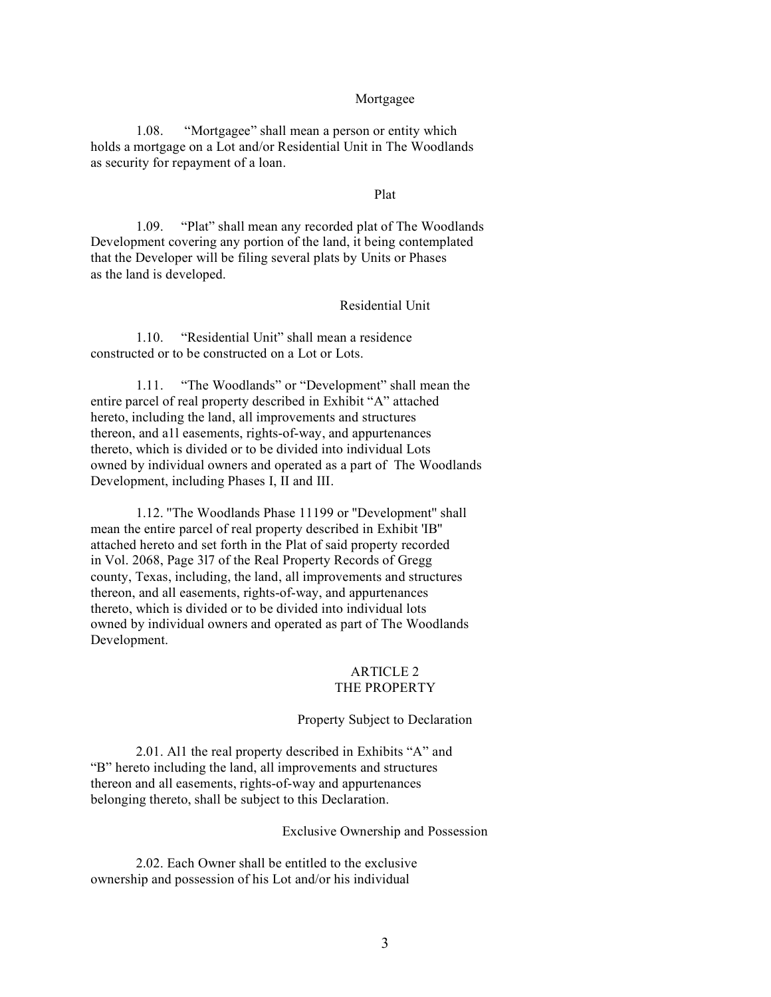## Mortgagee

1.08. "Mortgagee" shall mean a person or entity which holds a mortgage on a Lot and/or Residential Unit in The Woodlands as security for repayment of a loan.

## Plat

1.09. "Plat" shall mean any recorded plat of The Woodlands Development covering any portion of the land, it being contemplated that the Developer will be filing several plats by Units or Phases as the land is developed.

## Residential Unit

1.10. "Residential Unit" shall mean a residence constructed or to be constructed on a Lot or Lots.

1.11. "The Woodlands" or "Development" shall mean the entire parcel of real property described in Exhibit "A" attached hereto, including the land, all improvements and structures thereon, and a1l easements, rights-of-way, and appurtenances thereto, which is divided or to be divided into individual Lots owned by individual owners and operated as a part of The Woodlands Development, including Phases I, II and III.

1.12. ''The Woodlands Phase 11199 or ''Development'' shall mean the entire parcel of real property described in Exhibit 'IB'' attached hereto and set forth in the Plat of said property recorded in Vol. 2068, Page 3l7 of the Real Property Records of Gregg county, Texas, including, the land, all improvements and structures thereon, and all easements, rights-of-way, and appurtenances thereto, which is divided or to be divided into individual lots owned by individual owners and operated as part of The Woodlands Development.

## ARTICLE 2 THE PROPERTY

## Property Subject to Declaration

2.01. Al1 the real property described in Exhibits "A" and "B" hereto including the land, all improvements and structures thereon and all easements, rights-of-way and appurtenances belonging thereto, shall be subject to this Declaration.

# Exclusive Ownership and Possession

2.02. Each Owner shall be entitled to the exclusive ownership and possession of his Lot and/or his individual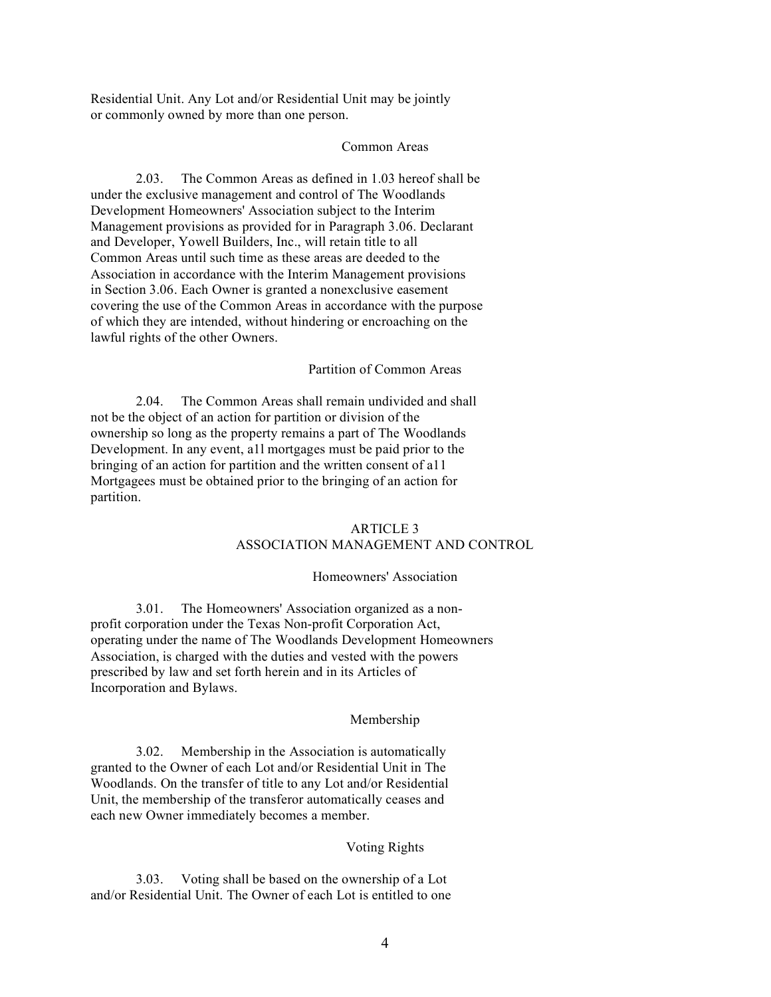Residential Unit. Any Lot and/or Residential Unit may be jointly or commonly owned by more than one person.

# Common Areas

2.03. The Common Areas as defined in 1.03 hereof shall be under the exclusive management and control of The Woodlands Development Homeowners' Association subject to the Interim Management provisions as provided for in Paragraph 3.06. Declarant and Developer, Yowell Builders, Inc., will retain title to all Common Areas until such time as these areas are deeded to the Association in accordance with the Interim Management provisions in Section 3.06. Each Owner is granted a nonexclusive easement covering the use of the Common Areas in accordance with the purpose of which they are intended, without hindering or encroaching on the lawful rights of the other Owners.

### Partition of Common Areas

2.04. The Common Areas shall remain undivided and shall not be the object of an action for partition or division of the ownership so long as the property remains a part of The Woodlands Development. In any event, a1l mortgages must be paid prior to the bringing of an action for partition and the written consent of a11 Mortgagees must be obtained prior to the bringing of an action for partition.

# ARTICLE 3

# ASSOCIATION MANAGEMENT AND CONTROL

## Homeowners' Association

3.01. The Homeowners' Association organized as a nonprofit corporation under the Texas Non-profit Corporation Act, operating under the name of The Woodlands Development Homeowners Association, is charged with the duties and vested with the powers prescribed by law and set forth herein and in its Articles of Incorporation and Bylaws.

## Membership

3.02. Membership in the Association is automatically granted to the Owner of each Lot and/or Residential Unit in The Woodlands. On the transfer of title to any Lot and/or Residential Unit, the membership of the transferor automatically ceases and each new Owner immediately becomes a member.

### Voting Rights

3.03. Voting shall be based on the ownership of a Lot and/or Residential Unit. The Owner of each Lot is entitled to one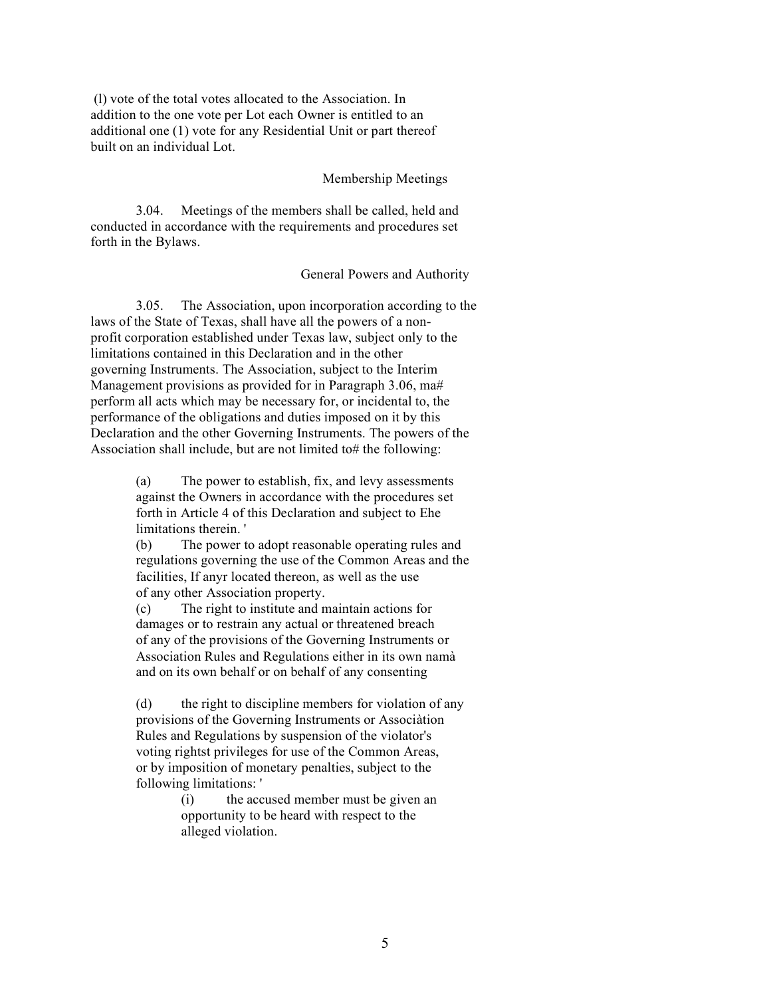(l) vote of the total votes allocated to the Association. In addition to the one vote per Lot each Owner is entitled to an additional one (1) vote for any Residential Unit or part thereof built on an individual Lot.

### Membership Meetings

3.04. Meetings of the members shall be called, held and conducted in accordance with the requirements and procedures set forth in the Bylaws.

## General Powers and Authority

3.05. The Association, upon incorporation according to the laws of the State of Texas, shall have all the powers of a nonprofit corporation established under Texas law, subject only to the limitations contained in this Declaration and in the other governing Instruments. The Association, subject to the Interim Management provisions as provided for in Paragraph 3.06, ma# perform all acts which may be necessary for, or incidental to, the performance of the obligations and duties imposed on it by this Declaration and the other Governing Instruments. The powers of the Association shall include, but are not limited to# the following:

> (a) The power to establish, fix, and levy assessments against the Owners in accordance with the procedures set forth in Article 4 of this Declaration and subject to Ehe limitations therein. '

(b) The power to adopt reasonable operating rules and regulations governing the use of the Common Areas and the facilities, If anyr located thereon, as well as the use of any other Association property.

(c) The right to institute and maintain actions for damages or to restrain any actual or threatened breach of any of the provisions of the Governing Instruments or Association Rules and Regulations either in its own namà and on its own behalf or on behalf of any consenting

(d) the right to discipline members for violation of any provisions of the Governing Instruments or Associàtion Rules and Regulations by suspension of the violator's voting rightst privileges for use of the Common Areas, or by imposition of monetary penalties, subject to the following limitations: '

> (i) the accused member must be given an opportunity to be heard with respect to the alleged violation.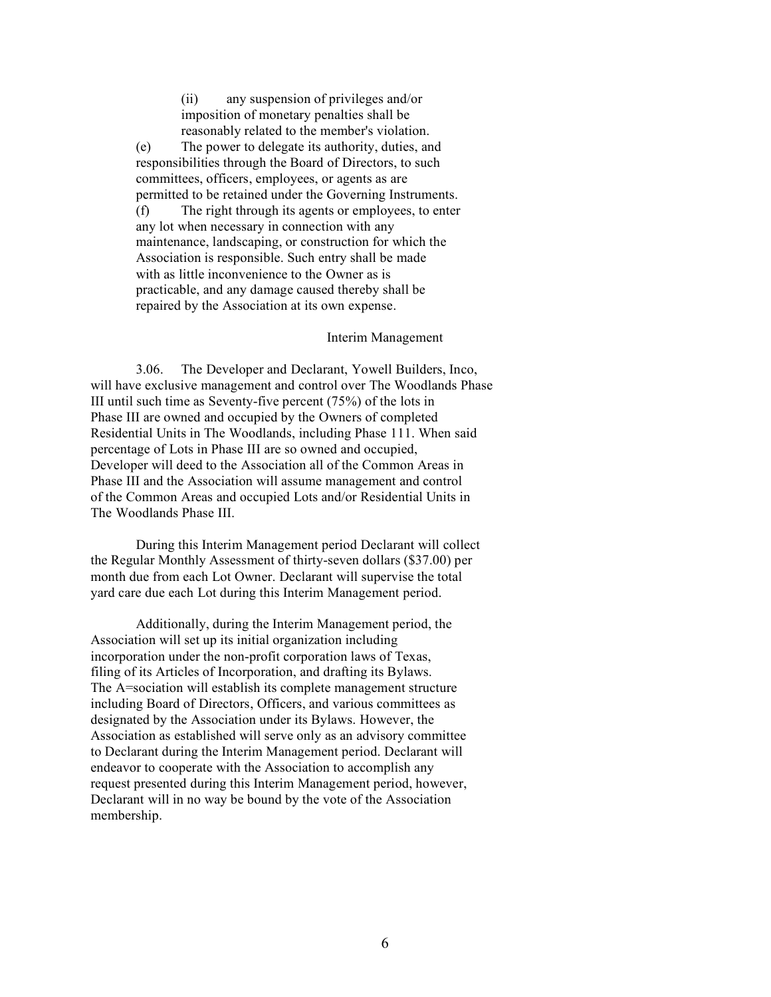(ii) any suspension of privileges and/or imposition of monetary penalties shall be reasonably related to the member's violation.

(e) The power to delegate its authority, duties, and responsibilities through the Board of Directors, to such committees, officers, employees, or agents as are permitted to be retained under the Governing Instruments. (f) The right through its agents or employees, to enter any lot when necessary in connection with any maintenance, landscaping, or construction for which the Association is responsible. Such entry shall be made with as little inconvenience to the Owner as is practicable, and any damage caused thereby shall be repaired by the Association at its own expense.

#### Interim Management

3.06. The Developer and Declarant, Yowell Builders, Inco, will have exclusive management and control over The Woodlands Phase III until such time as Seventy-five percent (75%) of the lots in Phase III are owned and occupied by the Owners of completed Residential Units in The Woodlands, including Phase 111. When said percentage of Lots in Phase III are so owned and occupied, Developer will deed to the Association all of the Common Areas in Phase III and the Association will assume management and control of the Common Areas and occupied Lots and/or Residential Units in The Woodlands Phase III.

During this Interim Management period Declarant will collect the Regular Monthly Assessment of thirty-seven dollars (\$37.00) per month due from each Lot Owner. Declarant will supervise the total yard care due each Lot during this Interim Management period.

Additionally, during the Interim Management period, the Association will set up its initial organization including incorporation under the non-profit corporation laws of Texas, filing of its Articles of Incorporation, and drafting its Bylaws. The A=sociation will establish its complete management structure including Board of Directors, Officers, and various committees as designated by the Association under its Bylaws. However, the Association as established will serve only as an advisory committee to Declarant during the Interim Management period. Declarant will endeavor to cooperate with the Association to accomplish any request presented during this Interim Management period, however, Declarant will in no way be bound by the vote of the Association membership.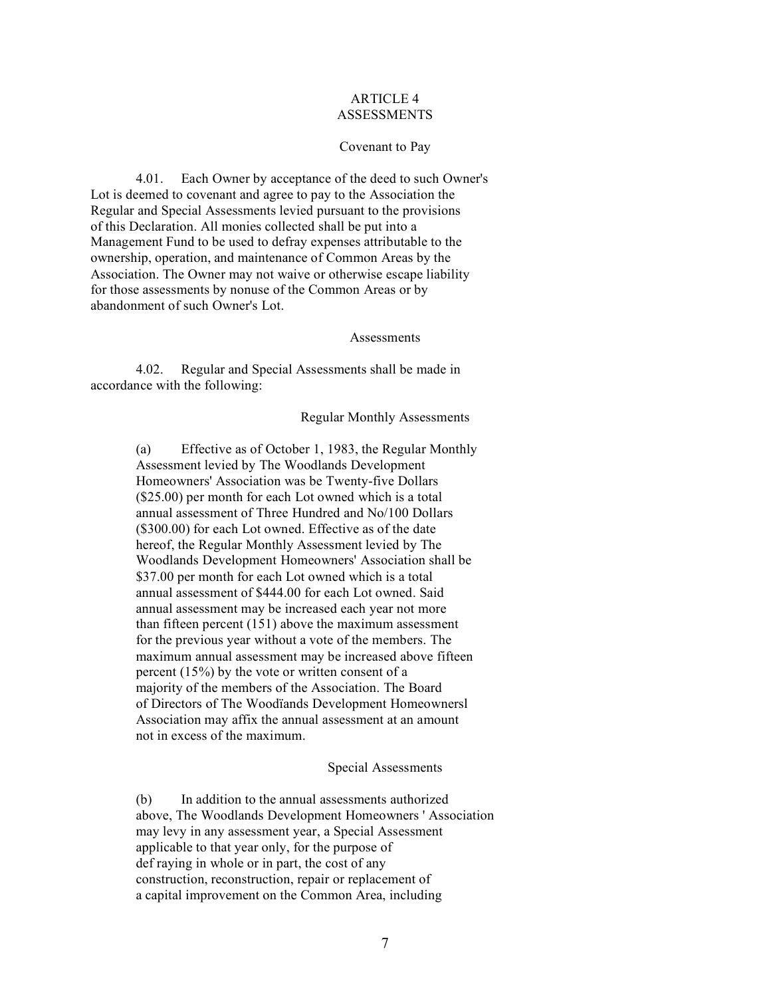## ARTICLE 4 ASSESSMENTS

#### Covenant to Pay

4.01. Each Owner by acceptance of the deed to such Owner's Lot is deemed to covenant and agree to pay to the Association the Regular and Special Assessments levied pursuant to the provisions of this Declaration. All monies collected shall be put into a Management Fund to be used to defray expenses attributable to the ownership, operation, and maintenance of Common Areas by the Association. The Owner may not waive or otherwise escape liability for those assessments by nonuse of the Common Areas or by abandonment of such Owner's Lot.

#### Assessments

4.02. Regular and Special Assessments shall be made in accordance with the following:

## Regular Monthly Assessments

(a) Effective as of October 1, 1983, the Regular Monthly Assessment levied by The Woodlands Development Homeowners' Association was be Twenty-five Dollars (\$25.00) per month for each Lot owned which is a total annual assessment of Three Hundred and No/100 Dollars (\$300.00) for each Lot owned. Effective as of the date hereof, the Regular Monthly Assessment levied by The Woodlands Development Homeowners' Association shall be \$37.00 per month for each Lot owned which is a total annual assessment of \$444.00 for each Lot owned. Said annual assessment may be increased each year not more than fifteen percent (151) above the maximum assessment for the previous year without a vote of the members. The maximum annual assessment may be increased above fifteen percent (15%) by the vote or written consent of a majority of the members of the Association. The Board of Directors of The Woodïands Development Homeownersl Association may affix the annual assessment at an amount not in excess of the maximum.

## Special Assessments

(b) In addition to the annual assessments authorized above, The Woodlands Development Homeowners ' Association may levy in any assessment year, a Special Assessment applicable to that year only, for the purpose of def raying in whole or in part, the cost of any construction, reconstruction, repair or replacement of a capital improvement on the Common Area, including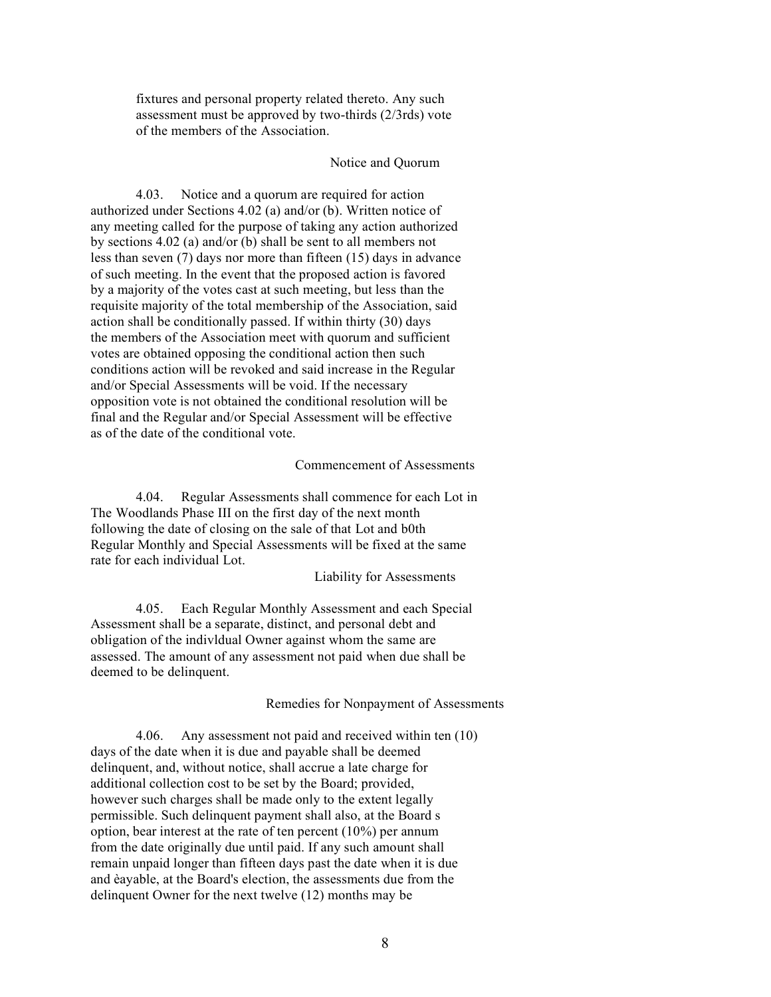fixtures and personal property related thereto. Any such assessment must be approved by two-thirds (2/3rds) vote of the members of the Association.

### Notice and Quorum

4.03. Notice and a quorum are required for action authorized under Sections 4.02 (a) and/or (b). Written notice of any meeting called for the purpose of taking any action authorized by sections 4.02 (a) and/or (b) shall be sent to all members not less than seven (7) days nor more than fifteen (15) days in advance of such meeting. In the event that the proposed action is favored by a majority of the votes cast at such meeting, but less than the requisite majority of the total membership of the Association, said action shall be conditionally passed. If within thirty (30) days the members of the Association meet with quorum and sufficient votes are obtained opposing the conditional action then such conditions action will be revoked and said increase in the Regular and/or Special Assessments will be void. If the necessary opposition vote is not obtained the conditional resolution will be final and the Regular and/or Special Assessment will be effective as of the date of the conditional vote.

### Commencement of Assessments

4.04. Regular Assessments shall commence for each Lot in The Woodlands Phase III on the first day of the next month following the date of closing on the sale of that Lot and b0th Regular Monthly and Special Assessments will be fixed at the same rate for each individual Lot.

### Liability for Assessments

4.05. Each Regular Monthly Assessment and each Special Assessment shall be a separate, distinct, and personal debt and obligation of the indivldual Owner against whom the same are assessed. The amount of any assessment not paid when due shall be deemed to be delinquent.

### Remedies for Nonpayment of Assessments

4.06. Any assessment not paid and received within ten (10) days of the date when it is due and payable shall be deemed delinquent, and, without notice, shall accrue a late charge for additional collection cost to be set by the Board; provided, however such charges shall be made only to the extent legally permissible. Such delinquent payment shall also, at the Board s option, bear interest at the rate of ten percent (10%) per annum from the date originally due until paid. If any such amount shall remain unpaid longer than fifteen days past the date when it is due and èayable, at the Board's election, the assessments due from the delinquent Owner for the next twelve (12) months may be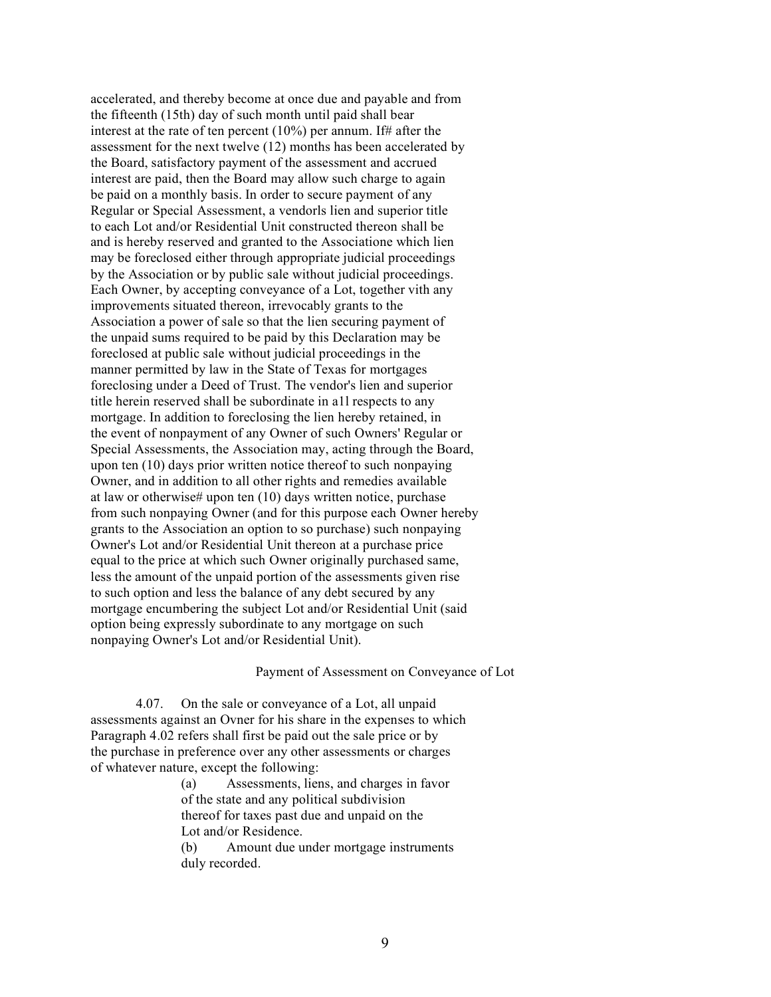accelerated, and thereby become at once due and payable and from the fifteenth (15th) day of such month until paid shall bear interest at the rate of ten percent (10%) per annum. If# after the assessment for the next twelve (12) months has been accelerated by the Board, satisfactory payment of the assessment and accrued interest are paid, then the Board may allow such charge to again be paid on a monthly basis. In order to secure payment of any Regular or Special Assessment, a vendorls lien and superior title to each Lot and/or Residential Unit constructed thereon shall be and is hereby reserved and granted to the Associatione which lien may be foreclosed either through appropriate judicial proceedings by the Association or by public sale without judicial proceedings. Each Owner, by accepting conveyance of a Lot, together vith any improvements situated thereon, irrevocably grants to the Association a power of sale so that the lien securing payment of the unpaid sums required to be paid by this Declaration may be foreclosed at public sale without judicial proceedings in the manner permitted by law in the State of Texas for mortgages foreclosing under a Deed of Trust. The vendor's lien and superior title herein reserved shall be subordinate in a1l respects to any mortgage. In addition to foreclosing the lien hereby retained, in the event of nonpayment of any Owner of such Owners' Regular or Special Assessments, the Association may, acting through the Board, upon ten (10) days prior written notice thereof to such nonpaying Owner, and in addition to all other rights and remedies available at law or otherwise# upon ten (10) days written notice, purchase from such nonpaying Owner (and for this purpose each Owner hereby grants to the Association an option to so purchase) such nonpaying Owner's Lot and/or Residential Unit thereon at a purchase price equal to the price at which such Owner originally purchased same, less the amount of the unpaid portion of the assessments given rise to such option and less the balance of any debt secured by any mortgage encumbering the subject Lot and/or Residential Unit (said option being expressly subordinate to any mortgage on such nonpaying Owner's Lot and/or Residential Unit).

#### Payment of Assessment on Conveyance of Lot

4.07. On the sale or conveyance of a Lot, all unpaid assessments against an Ovner for his share in the expenses to which Paragraph 4.02 refers shall first be paid out the sale price or by the purchase in preference over any other assessments or charges of whatever nature, except the following:

(a) Assessments, liens, and charges in favor of the state and any political subdivision thereof for taxes past due and unpaid on the Lot and/or Residence. (b) Amount due under mortgage instruments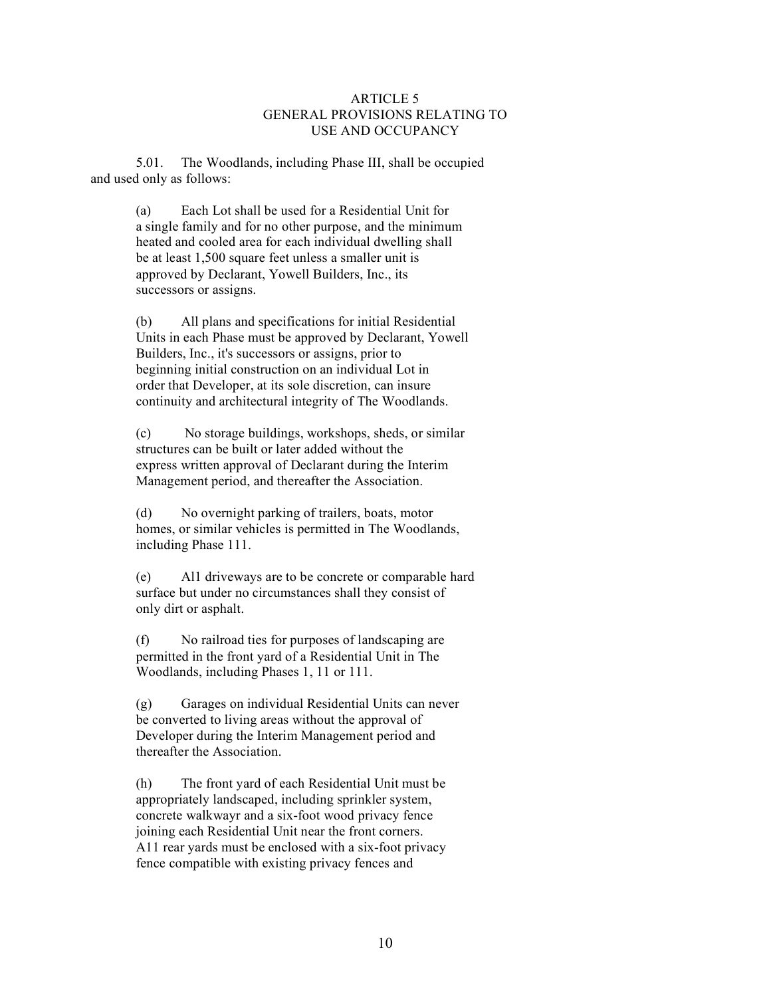# ARTICLE 5 GENERAL PROVISIONS RELATING TO USE AND OCCUPANCY

5.01. The Woodlands, including Phase III, shall be occupied and used only as follows:

> (a) Each Lot shall be used for a Residential Unit for a single family and for no other purpose, and the minimum heated and cooled area for each individual dwelling shall be at least 1,500 square feet unless a smaller unit is approved by Declarant, Yowell Builders, Inc., its successors or assigns.

(b) All plans and specifications for initial Residential Units in each Phase must be approved by Declarant, Yowell Builders, Inc., it's successors or assigns, prior to beginning initial construction on an individual Lot in order that Developer, at its sole discretion, can insure continuity and architectural integrity of The Woodlands.

(c) No storage buildings, workshops, sheds, or similar structures can be built or later added without the express written approval of Declarant during the Interim Management period, and thereafter the Association.

(d) No overnight parking of trailers, boats, motor homes, or similar vehicles is permitted in The Woodlands, including Phase 111.

(e) Al1 driveways are to be concrete or comparable hard surface but under no circumstances shall they consist of only dirt or asphalt.

(f) No railroad ties for purposes of landscaping are permitted in the front yard of a Residential Unit in The Woodlands, including Phases 1, 11 or 111.

(g) Garages on individual Residential Units can never be converted to living areas without the approval of Developer during the Interim Management period and thereafter the Association.

(h) The front yard of each Residential Unit must be appropriately landscaped, including sprinkler system, concrete walkwayr and a six-foot wood privacy fence joining each Residential Unit near the front corners. A11 rear yards must be enclosed with a six-foot privacy fence compatible with existing privacy fences and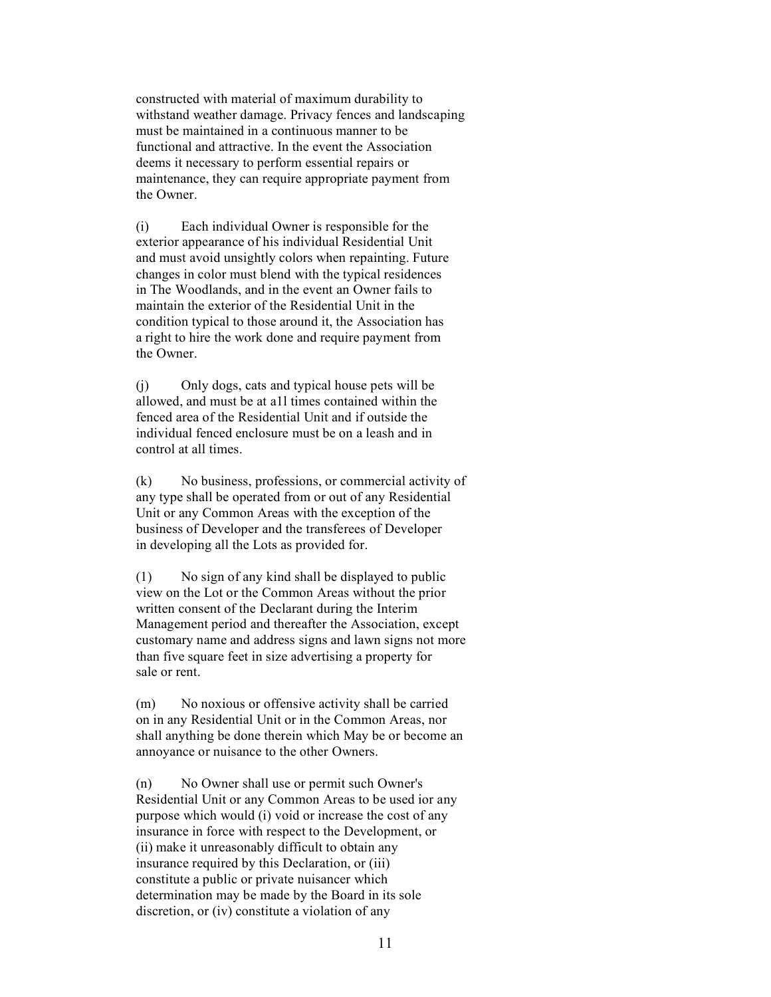constructed with material of maximum durability to withstand weather damage. Privacy fences and landscaping must be maintained in a continuous manner to be functional and attractive. In the event the Association deems it necessary to perform essential repairs or maintenance, they can require appropriate payment from the Owner.

(i) Each individual Owner is responsible for the exterior appearance of his individual Residential Unit and must avoid unsightly colors when repainting. Future changes in color must blend with the typical residences in The Woodlands, and in the event an Owner fails to maintain the exterior of the Residential Unit in the condition typical to those around it, the Association has a right to hire the work done and require payment from the Owner.

(j) Only dogs, cats and typical house pets will be allowed, and must be at a1l times contained within the fenced area of the Residential Unit and if outside the individual fenced enclosure must be on a leash and in control at all times.

(k) No business, professions, or commercial activity of any type shall be operated from or out of any Residential Unit or any Common Areas with the exception of the business of Developer and the transferees of Developer in developing all the Lots as provided for.

(1) No sign of any kind shall be displayed to public view on the Lot or the Common Areas without the prior written consent of the Declarant during the Interim Management period and thereafter the Association, except customary name and address signs and lawn signs not more than five square feet in size advertising a property for sale or rent.

(m) No noxious or offensive activity shall be carried on in any Residential Unit or in the Common Areas, nor shall anything be done therein which May be or become an annoyance or nuisance to the other Owners.

(n) No Owner shall use or permit such Owner's Residential Unit or any Common Areas to be used ior any purpose which would (i) void or increase the cost of any insurance in force with respect to the Development, or (ii) make it unreasonably difficult to obtain any insurance required by this Declaration, or (iii) constitute a public or private nuisancer which determination may be made by the Board in its sole discretion, or (iv) constitute a violation of any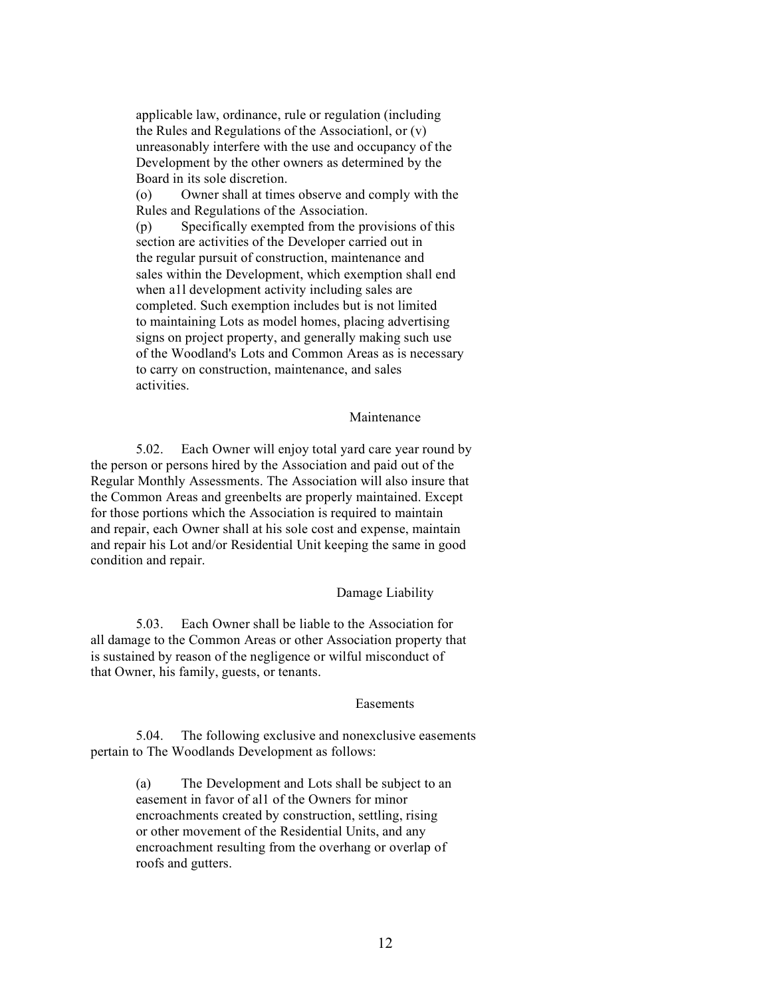applicable law, ordinance, rule or regulation (including the Rules and Regulations of the Associationl, or (v) unreasonably interfere with the use and occupancy of the Development by the other owners as determined by the Board in its sole discretion.

(o) Owner shall at times observe and comply with the Rules and Regulations of the Association.

(p) Specifically exempted from the provisions of this section are activities of the Developer carried out in the regular pursuit of construction, maintenance and sales within the Development, which exemption shall end when a1l development activity including sales are completed. Such exemption includes but is not limited to maintaining Lots as model homes, placing advertising signs on project property, and generally making such use of the Woodland's Lots and Common Areas as is necessary to carry on construction, maintenance, and sales activities.

#### Maintenance

5.02. Each Owner will enjoy total yard care year round by the person or persons hired by the Association and paid out of the Regular Monthly Assessments. The Association will also insure that the Common Areas and greenbelts are properly maintained. Except for those portions which the Association is required to maintain and repair, each Owner shall at his sole cost and expense, maintain and repair his Lot and/or Residential Unit keeping the same in good condition and repair.

### Damage Liability

5.03. Each Owner shall be liable to the Association for all damage to the Common Areas or other Association property that is sustained by reason of the negligence or wilful misconduct of that Owner, his family, guests, or tenants.

#### Easements

5.04. The following exclusive and nonexclusive easements pertain to The Woodlands Development as follows:

> (a) The Development and Lots shall be subject to an easement in favor of al1 of the Owners for minor encroachments created by construction, settling, rising or other movement of the Residential Units, and any encroachment resulting from the overhang or overlap of roofs and gutters.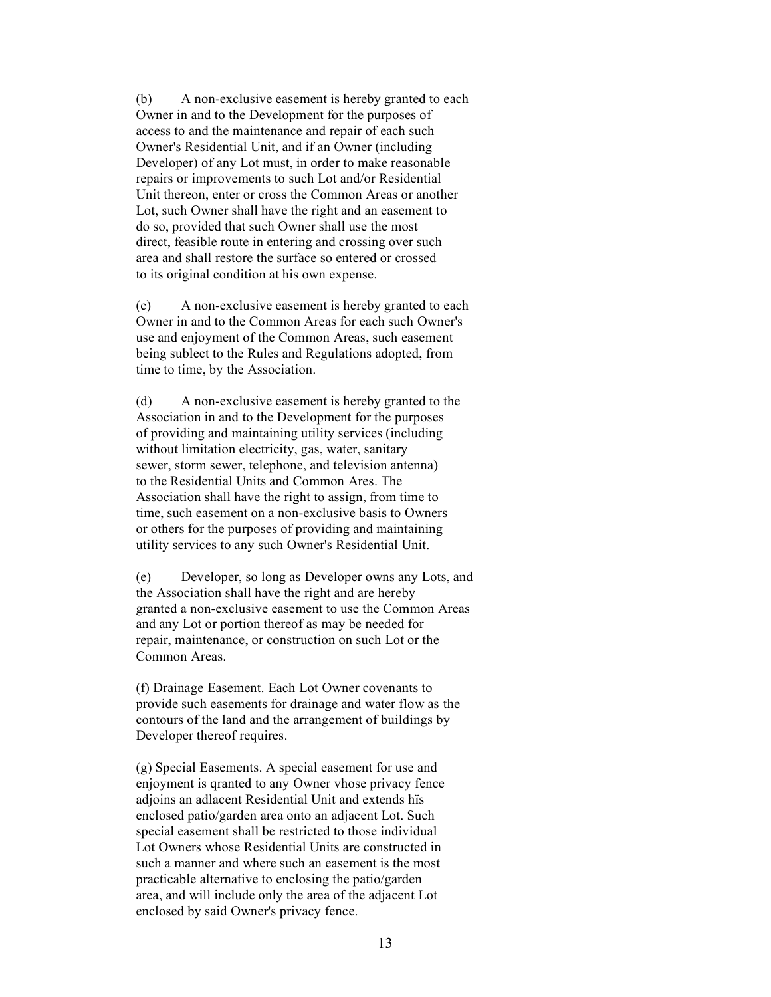(b) A non-exclusive easement is hereby granted to each Owner in and to the Development for the purposes of access to and the maintenance and repair of each such Owner's Residential Unit, and if an Owner (including Developer) of any Lot must, in order to make reasonable repairs or improvements to such Lot and/or Residential Unit thereon, enter or cross the Common Areas or another Lot, such Owner shall have the right and an easement to do so, provided that such Owner shall use the most direct, feasible route in entering and crossing over such area and shall restore the surface so entered or crossed to its original condition at his own expense.

(c) A non-exclusive easement is hereby granted to each Owner in and to the Common Areas for each such Owner's use and enjoyment of the Common Areas, such easement being sublect to the Rules and Regulations adopted, from time to time, by the Association.

(d) A non-exclusive easement is hereby granted to the Association in and to the Development for the purposes of providing and maintaining utility services (including without limitation electricity, gas, water, sanitary sewer, storm sewer, telephone, and television antenna) to the Residential Units and Common Ares. The Association shall have the right to assign, from time to time, such easement on a non-exclusive basis to Owners or others for the purposes of providing and maintaining utility services to any such Owner's Residential Unit.

(e) Developer, so long as Developer owns any Lots, and the Association shall have the right and are hereby granted a non-exclusive easement to use the Common Areas and any Lot or portion thereof as may be needed for repair, maintenance, or construction on such Lot or the Common Areas.

(f) Drainage Easement. Each Lot Owner covenants to provide such easements for drainage and water flow as the contours of the land and the arrangement of buildings by Developer thereof requires.

(g) Special Easements. A special easement for use and enjoyment is qranted to any Owner vhose privacy fence adjoins an adlacent Residential Unit and extends hïs enclosed patio/garden area onto an adjacent Lot. Such special easement shall be restricted to those individual Lot Owners whose Residential Units are constructed in such a manner and where such an easement is the most practicable alternative to enclosing the patio/garden area, and will include only the area of the adjacent Lot enclosed by said Owner's privacy fence.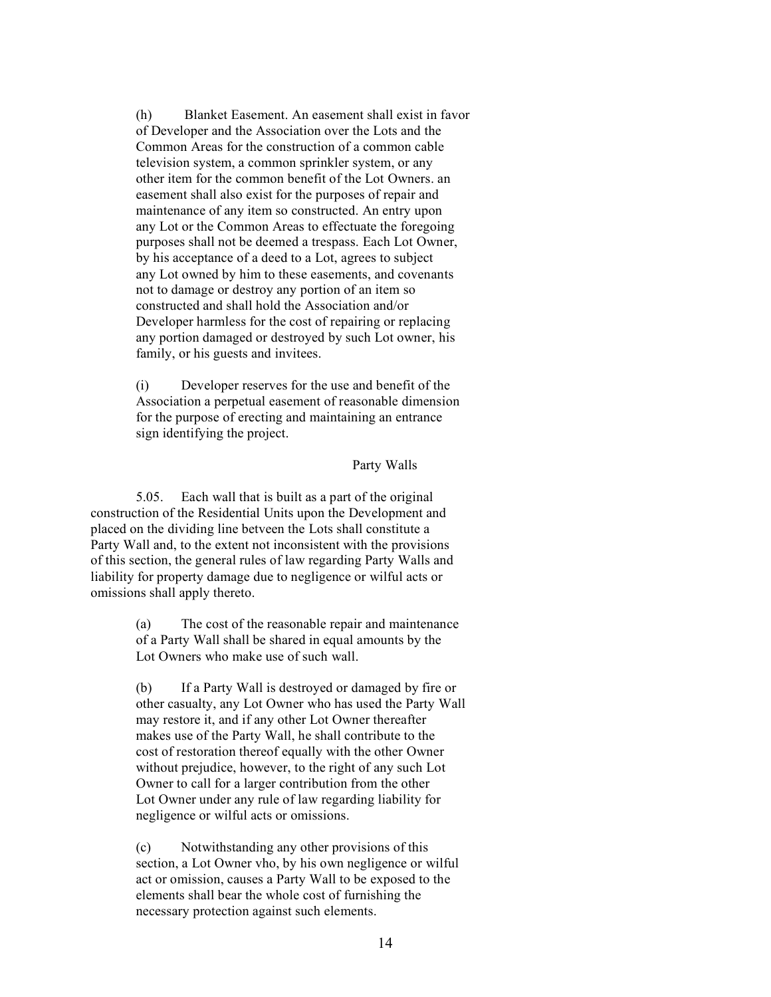(h) Blanket Easement. An easement shall exist in favor of Developer and the Association over the Lots and the Common Areas for the construction of a common cable television system, a common sprinkler system, or any other item for the common benefit of the Lot Owners. an easement shall also exist for the purposes of repair and maintenance of any item so constructed. An entry upon any Lot or the Common Areas to effectuate the foregoing purposes shall not be deemed a trespass. Each Lot Owner, by his acceptance of a deed to a Lot, agrees to subject any Lot owned by him to these easements, and covenants not to damage or destroy any portion of an item so constructed and shall hold the Association and/or Developer harmless for the cost of repairing or replacing any portion damaged or destroyed by such Lot owner, his family, or his guests and invitees.

(i) Developer reserves for the use and benefit of the Association a perpetual easement of reasonable dimension for the purpose of erecting and maintaining an entrance sign identifying the project.

### Party Walls

5.05. Each wall that is built as a part of the original construction of the Residential Units upon the Development and placed on the dividing line betveen the Lots shall constitute a Party Wall and, to the extent not inconsistent with the provisions of this section, the general rules of law regarding Party Walls and liability for property damage due to negligence or wilful acts or omissions shall apply thereto.

> (a) The cost of the reasonable repair and maintenance of a Party Wall shall be shared in equal amounts by the Lot Owners who make use of such wall.

(b) If a Party Wall is destroyed or damaged by fire or other casualty, any Lot Owner who has used the Party Wall may restore it, and if any other Lot Owner thereafter makes use of the Party Wall, he shall contribute to the cost of restoration thereof equally with the other Owner without prejudice, however, to the right of any such Lot Owner to call for a larger contribution from the other Lot Owner under any rule of law regarding liability for negligence or wilful acts or omissions.

(c) Notwithstanding any other provisions of this section, a Lot Owner vho, by his own negligence or wilful act or omission, causes a Party Wall to be exposed to the elements shall bear the whole cost of furnishing the necessary protection against such elements.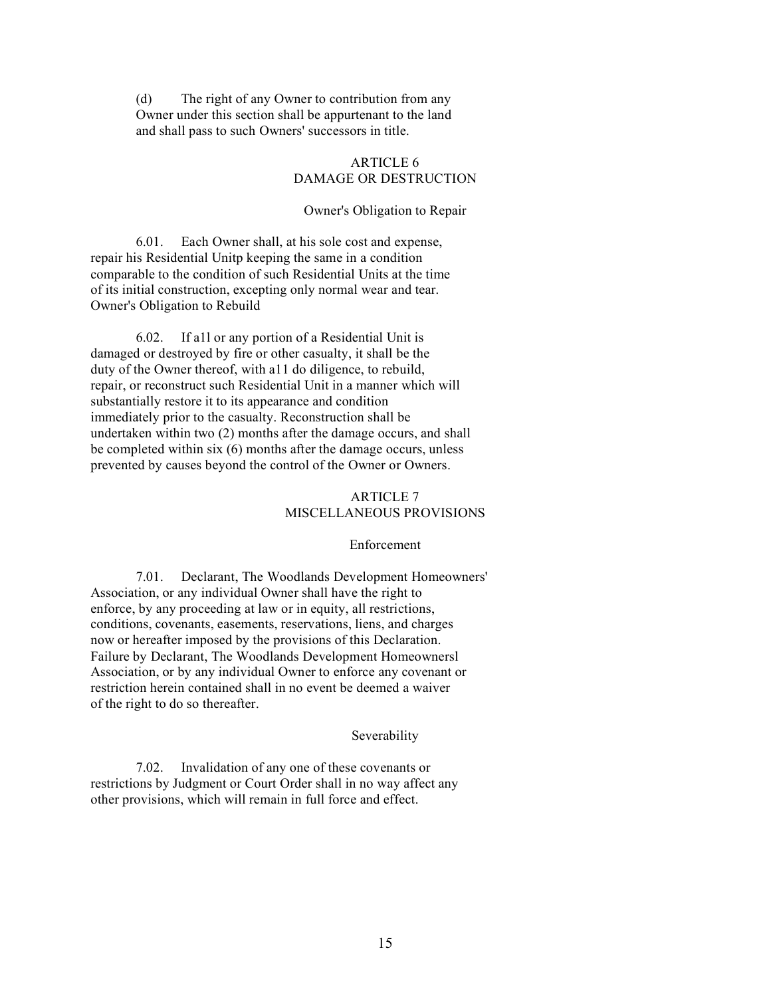(d) The right of any Owner to contribution from any Owner under this section shall be appurtenant to the land and shall pass to such Owners' successors in title.

# ARTICLE 6 DAMAGE OR DESTRUCTION

### Owner's Obligation to Repair

6.01. Each Owner shall, at his sole cost and expense, repair his Residential Unitp keeping the same in a condition comparable to the condition of such Residential Units at the time of its initial construction, excepting only normal wear and tear. Owner's Obligation to Rebuild

6.02. If a1l or any portion of a Residential Unit is damaged or destroyed by fire or other casualty, it shall be the duty of the Owner thereof, with a11 do diligence, to rebuild, repair, or reconstruct such Residential Unit in a manner which will substantially restore it to its appearance and condition immediately prior to the casualty. Reconstruction shall be undertaken within two (2) months after the damage occurs, and shall be completed within six (6) months after the damage occurs, unless prevented by causes beyond the control of the Owner or Owners.

# ARTICLE 7 MISCELLANEOUS PROVISIONS

#### Enforcement

7.01. Declarant, The Woodlands Development Homeowners' Association, or any individual Owner shall have the right to enforce, by any proceeding at law or in equity, all restrictions, conditions, covenants, easements, reservations, liens, and charges now or hereafter imposed by the provisions of this Declaration. Failure by Declarant, The Woodlands Development Homeownersl Association, or by any individual Owner to enforce any covenant or restriction herein contained shall in no event be deemed a waiver of the right to do so thereafter.

## Severability

7.02. Invalidation of any one of these covenants or restrictions by Judgment or Court Order shall in no way affect any other provisions, which will remain in full force and effect.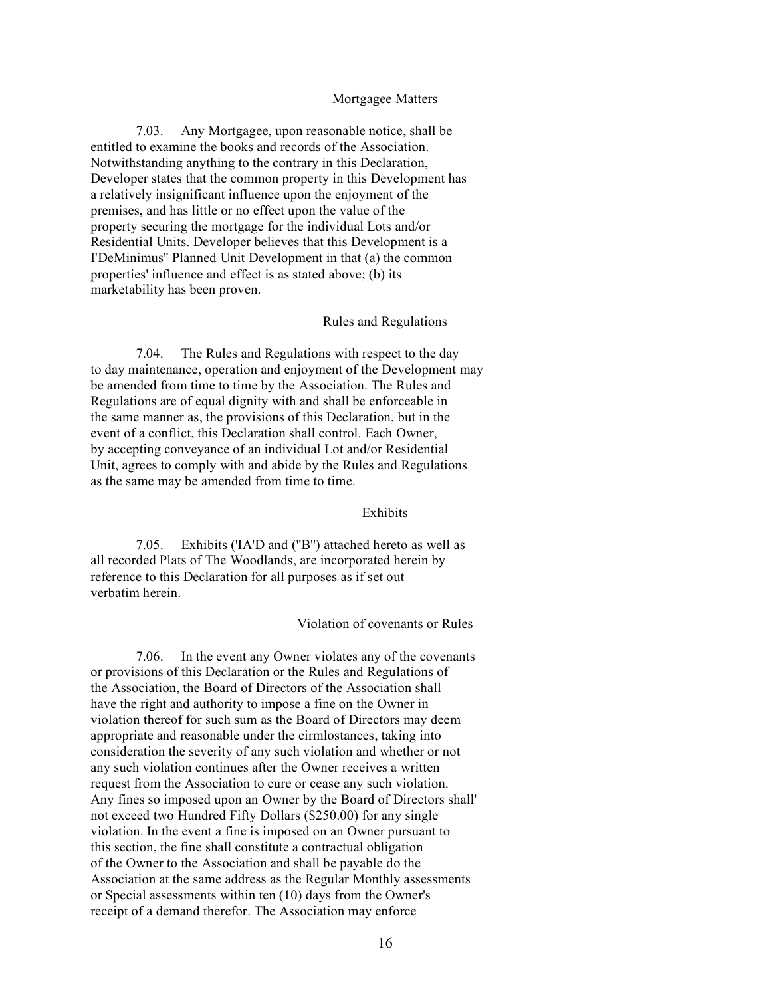### Mortgagee Matters

7.03. Any Mortgagee, upon reasonable notice, shall be entitled to examine the books and records of the Association. Notwithstanding anything to the contrary in this Declaration, Developer states that the common property in this Development has a relatively insignificant influence upon the enjoyment of the premises, and has little or no effect upon the value of the property securing the mortgage for the individual Lots and/or Residential Units. Developer believes that this Development is a I'DeMinimus'' Planned Unit Development in that (a) the common properties' influence and effect is as stated above; (b) its marketability has been proven.

### Rules and Regulations

7.04. The Rules and Regulations with respect to the day to day maintenance, operation and enjoyment of the Development may be amended from time to time by the Association. The Rules and Regulations are of equal dignity with and shall be enforceable in the same manner as, the provisions of this Declaration, but in the event of a conflict, this Declaration shall control. Each Owner, by accepting conveyance of an individual Lot and/or Residential Unit, agrees to comply with and abide by the Rules and Regulations as the same may be amended from time to time.

## Exhibits

7.05. Exhibits ('IA'D and (''B'') attached hereto as well as all recorded Plats of The Woodlands, are incorporated herein by reference to this Declaration for all purposes as if set out verbatim herein.

#### Violation of covenants or Rules

7.06. In the event any Owner violates any of the covenants or provisions of this Declaration or the Rules and Regulations of the Association, the Board of Directors of the Association shall have the right and authority to impose a fine on the Owner in violation thereof for such sum as the Board of Directors may deem appropriate and reasonable under the cirmlostances, taking into consideration the severity of any such violation and whether or not any such violation continues after the Owner receives a written request from the Association to cure or cease any such violation. Any fines so imposed upon an Owner by the Board of Directors shall' not exceed two Hundred Fifty Dollars (\$250.00) for any single violation. In the event a fine is imposed on an Owner pursuant to this section, the fine shall constitute a contractual obligation of the Owner to the Association and shall be payable do the Association at the same address as the Regular Monthly assessments or Special assessments within ten (10) days from the Owner's receipt of a demand therefor. The Association may enforce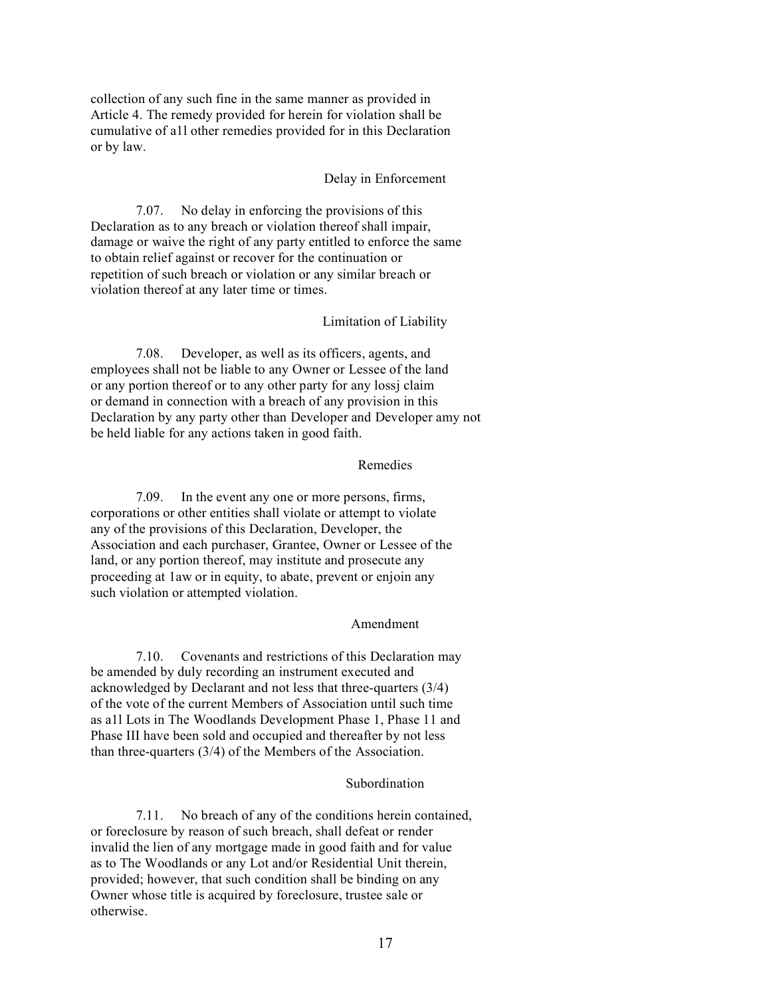collection of any such fine in the same manner as provided in Article 4. The remedy provided for herein for violation shall be cumulative of a1l other remedies provided for in this Declaration or by law.

### Delay in Enforcement

7.07. No delay in enforcing the provisions of this Declaration as to any breach or violation thereof shall impair, damage or waive the right of any party entitled to enforce the same to obtain relief against or recover for the continuation or repetition of such breach or violation or any similar breach or violation thereof at any later time or times.

## Limitation of Liability

7.08. Developer, as well as its officers, agents, and employees shall not be liable to any Owner or Lessee of the land or any portion thereof or to any other party for any lossj claim or demand in connection with a breach of any provision in this Declaration by any party other than Developer and Developer amy not be held liable for any actions taken in good faith.

### Remedies

7.09. In the event any one or more persons, firms, corporations or other entities shall violate or attempt to violate any of the provisions of this Declaration, Developer, the Association and each purchaser, Grantee, Owner or Lessee of the land, or any portion thereof, may institute and prosecute any proceeding at 1aw or in equity, to abate, prevent or enjoin any such violation or attempted violation.

### Amendment

7.10. Covenants and restrictions of this Declaration may be amended by duly recording an instrument executed and acknowledged by Declarant and not less that three-quarters (3/4) of the vote of the current Members of Association until such time as a1l Lots in The Woodlands Development Phase 1, Phase 11 and Phase III have been sold and occupied and thereafter by not less than three-quarters (3/4) of the Members of the Association.

#### Subordination

7.11. No breach of any of the conditions herein contained, or foreclosure by reason of such breach, shall defeat or render invalid the lien of any mortgage made in good faith and for value as to The Woodlands or any Lot and/or Residential Unit therein, provided; however, that such condition shall be binding on any Owner whose title is acquired by foreclosure, trustee sale or otherwise.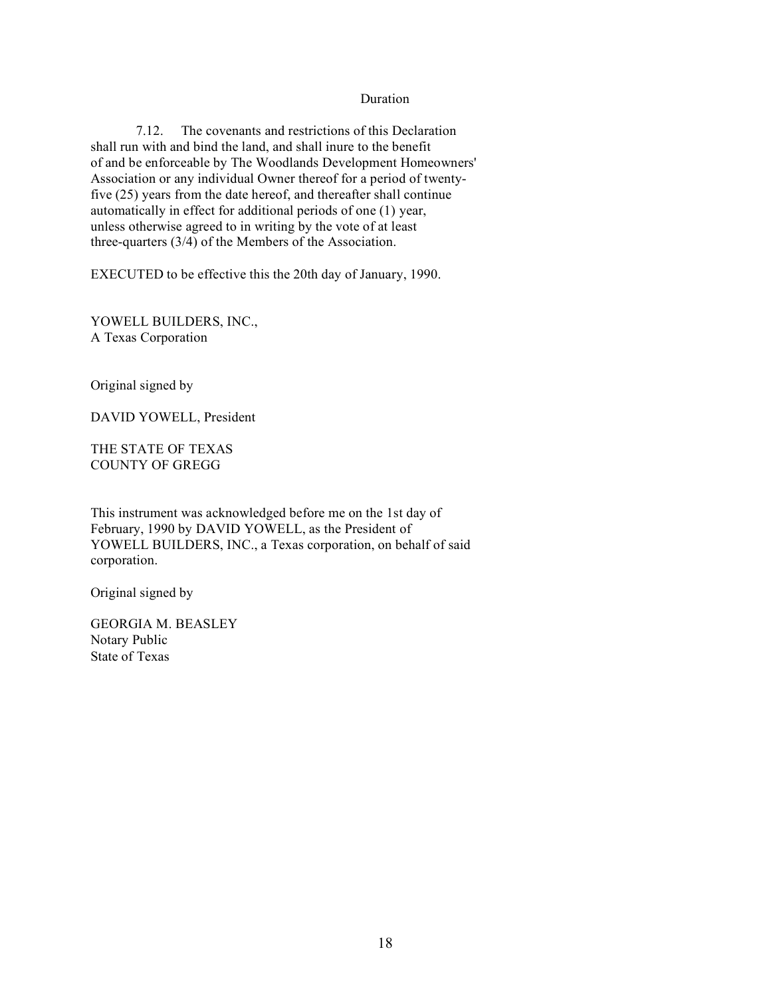## Duration

7.12. The covenants and restrictions of this Declaration shall run with and bind the land, and shall inure to the benefit of and be enforceable by The Woodlands Development Homeowners' Association or any individual Owner thereof for a period of twentyfive (25) years from the date hereof, and thereafter shall continue automatically in effect for additional periods of one (1) year, unless otherwise agreed to in writing by the vote of at least three-quarters (3/4) of the Members of the Association.

EXECUTED to be effective this the 20th day of January, 1990.

YOWELL BUILDERS, INC., A Texas Corporation

Original signed by

DAVID YOWELL, President

THE STATE OF TEXAS COUNTY OF GREGG

This instrument was acknowledged before me on the 1st day of February, 1990 by DAVID YOWELL, as the President of YOWELL BUILDERS, INC., a Texas corporation, on behalf of said corporation.

Original signed by

GEORGIA M. BEASLEY Notary Public State of Texas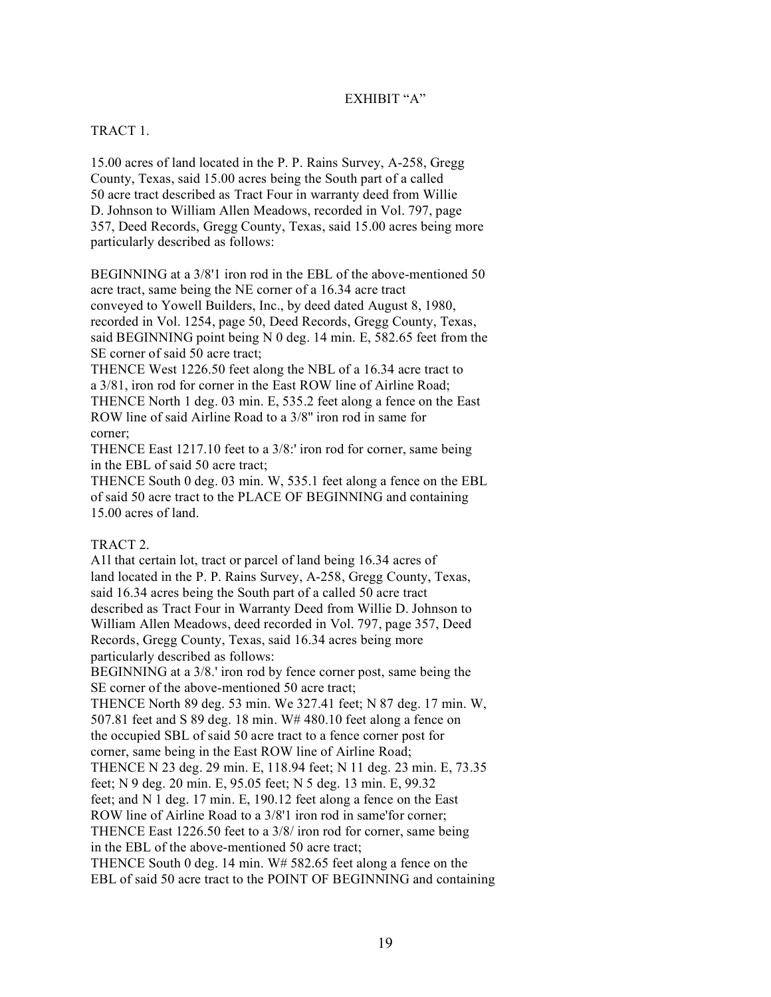# EXHIBIT "A"

## TRACT 1.

15.00 acres of land located in the P. P. Rains Survey, A-258, Gregg County, Texas, said 15.00 acres being the South part of a called 50 acre tract described as Tract Four in warranty deed from Willie D. Johnson to William Allen Meadows, recorded in Vol. 797, page 357, Deed Records, Gregg County, Texas, said 15.00 acres being more particularly described as follows:

BEGINNING at a 3/8'1 iron rod in the EBL of the above-mentioned 50 acre tract, same being the NE corner of a 16.34 acre tract conveyed to Yowell Builders, Inc., by deed dated August 8, 1980, recorded in Vol. 1254, page 50, Deed Records, Gregg County, Texas, said BEGINNING point being N 0 deg. 14 min. E, 582.65 feet from the SE corner of said 50 acre tract;

THENCE West 1226.50 feet along the NBL of a 16.34 acre tract to a 3/81, iron rod for corner in the East ROW line of Airline Road; THENCE North 1 deg. 03 min. E, 535.2 feet along a fence on the East ROW line of said Airline Road to a 3/8'' iron rod in same for corner;

THENCE East 1217.10 feet to a 3/8:' iron rod for corner, same being in the EBL of said 50 acre tract;

THENCE South 0 deg. 03 min. W, 535.1 feet along a fence on the EBL of said 50 acre tract to the PLACE OF BEGINNING and containing 15.00 acres of land.

## TRACT 2.

A1l that certain lot, tract or parcel of land being 16.34 acres of land located in the P. P. Rains Survey, A-258, Gregg County, Texas, said 16.34 acres being the South part of a called 50 acre tract described as Tract Four in Warranty Deed from Willie D. Johnson to William Allen Meadows, deed recorded in Vol. 797, page 357, Deed Records, Gregg County, Texas, said 16.34 acres being more particularly described as follows:

BEGINNING at a 3/8.' iron rod by fence corner post, same being the SE corner of the above-mentioned 50 acre tract;

THENCE North 89 deg. 53 min. We 327.41 feet; N 87 deg. 17 min. W, 507.81 feet and S 89 deg. 18 min. W# 480.10 feet along a fence on the occupied SBL of said 50 acre tract to a fence corner post for corner, same being in the East ROW line of Airline Road; THENCE N 23 deg. 29 min. E, 118.94 feet; N 11 deg. 23 min. E, 73.35 feet; N 9 deg. 20 min. E, 95.05 feet; N 5 deg. 13 min. E, 99.32 feet; and N 1 deg. 17 min. E, 190.12 feet along a fence on the East ROW line of Airline Road to a 3/8'1 iron rod in same'for corner; THENCE East 1226.50 feet to a 3/8/ iron rod for corner, same being in the EBL of the above-mentioned 50 acre tract; THENCE South 0 deg. 14 min. W# 582.65 feet along a fence on the EBL of said 50 acre tract to the POINT OF BEGINNING and containing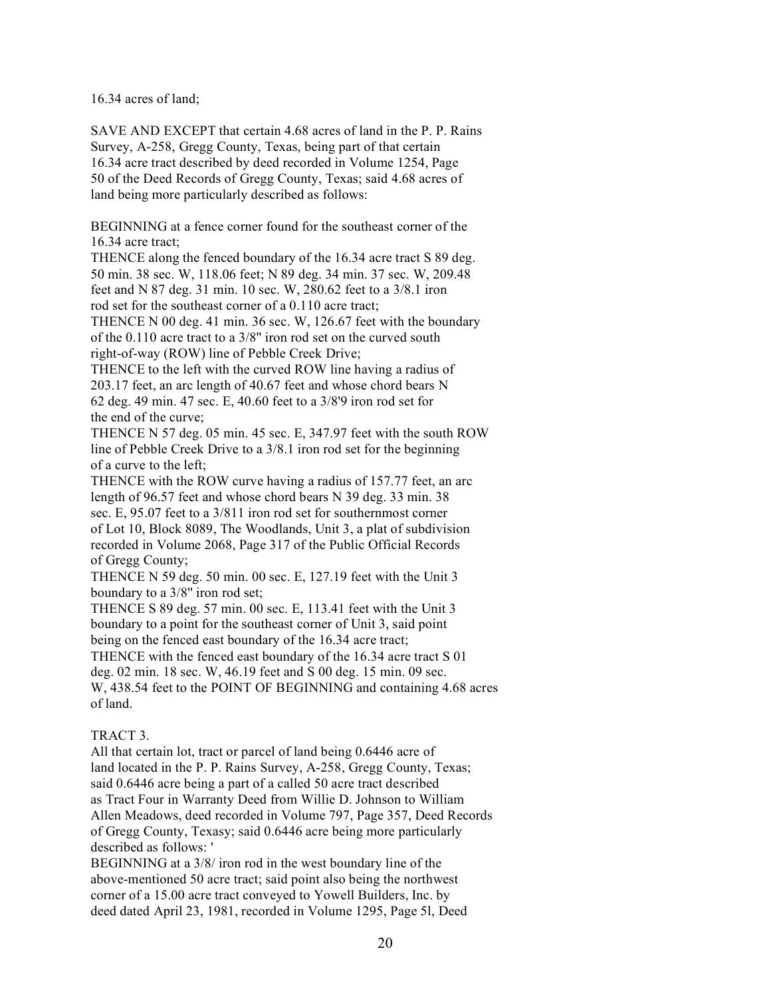16.34 acres of land;

SAVE AND EXCEPT that certain 4.68 acres of land in the P. P. Rains Survey, A-258, Gregg County, Texas, being part of that certain 16.34 acre tract described by deed recorded in Volume 1254, Page 50 of the Deed Records of Gregg County, Texas; said 4.68 acres of land being more particularly described as follows:

BEGINNING at a fence corner found for the southeast corner of the 16.34 acre tract;

THENCE along the fenced boundary of the 16.34 acre tract S 89 deg. 50 min. 38 sec. W, 118.06 feet; N 89 deg. 34 min. 37 sec. W, 209.48 feet and N 87 deg. 31 min. 10 sec. W, 280.62 feet to a 3/8.1 iron rod set for the southeast corner of a 0.110 acre tract;

THENCE N 00 deg. 41 min. 36 sec. W, 126.67 feet with the boundary of the 0.110 acre tract to a 3/8'' iron rod set on the curved south right-of-way (ROW) line of Pebble Creek Drive;

THENCE to the left with the curved ROW line having a radius of 203.17 feet, an arc length of 40.67 feet and whose chord bears N 62 deg. 49 min. 47 sec. E, 40.60 feet to a 3/8'9 iron rod set for the end of the curve;

THENCE N 57 deg. 05 min. 45 sec. E, 347.97 feet with the south ROW line of Pebble Creek Drive to a 3/8.1 iron rod set for the beginning of a curve to the left;

THENCE with the ROW curve having a radius of 157.77 feet, an arc length of 96.57 feet and whose chord bears N 39 deg. 33 min. 38 sec. E, 95.07 feet to a 3/811 iron rod set for southernmost corner of Lot 10, Block 8089, The Woodlands, Unit 3, a plat of subdivision recorded in Volume 2068, Page 317 of the Public Official Records of Gregg County;

THENCE N 59 deg. 50 min. 00 sec. E, 127.19 feet with the Unit 3 boundary to a 3/8'' iron rod set;

THENCE S 89 deg. 57 min. 00 sec. E, 113.41 feet with the Unit 3 boundary to a point for the southeast corner of Unit 3, said point being on the fenced east boundary of the 16.34 acre tract;

THENCE with the fenced east boundary of the 16.34 acre tract S 01 deg. 02 min. 18 sec. W, 46.19 feet and S 00 deg. 15 min. 09 sec. W, 438.54 feet to the POINT OF BEGINNING and containing 4.68 acres of land.

# TRACT 3.

All that certain lot, tract or parcel of land being 0.6446 acre of land located in the P. P. Rains Survey, A-258, Gregg County, Texas; said 0.6446 acre being a part of a called 50 acre tract described as Tract Four in Warranty Deed from Willie D. Johnson to William Allen Meadows, deed recorded in Volume 797, Page 357, Deed Records of Gregg County, Texasy; said 0.6446 acre being more particularly described as follows: '

BEGINNING at a 3/8/ iron rod in the west boundary line of the above-mentioned 50 acre tract; said point also being the northwest corner of a 15.00 acre tract conveyed to Yowell Builders, Inc. by deed dated April 23, 1981, recorded in Volume 1295, Page 5l, Deed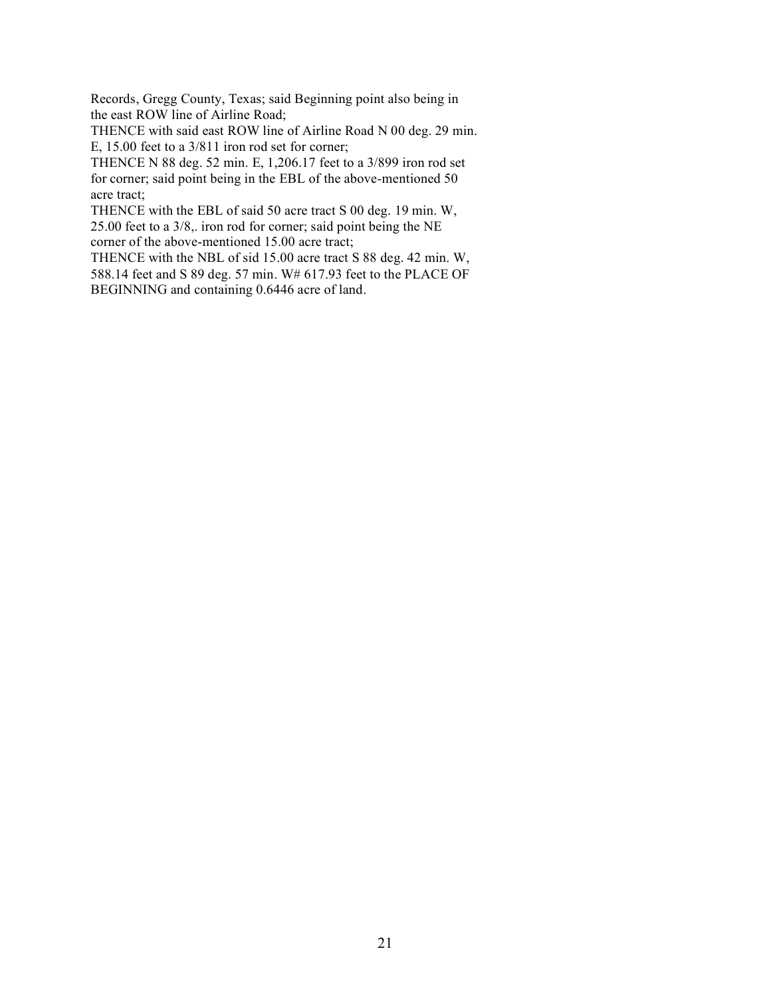Records, Gregg County, Texas; said Beginning point also being in the east ROW line of Airline Road;

THENCE with said east ROW line of Airline Road N 00 deg. 29 min. E, 15.00 feet to a 3/811 iron rod set for corner;

THENCE N 88 deg. 52 min. E, 1,206.17 feet to a 3/899 iron rod set for corner; said point being in the EBL of the above-mentioned 50 acre tract;

THENCE with the EBL of said 50 acre tract S 00 deg. 19 min. W, 25.00 feet to a 3/8,. iron rod for corner; said point being the NE corner of the above-mentioned 15.00 acre tract;

THENCE with the NBL of sid 15.00 acre tract S 88 deg. 42 min. W, 588.14 feet and S 89 deg. 57 min. W# 617.93 feet to the PLACE OF BEGINNING and containing 0.6446 acre of land.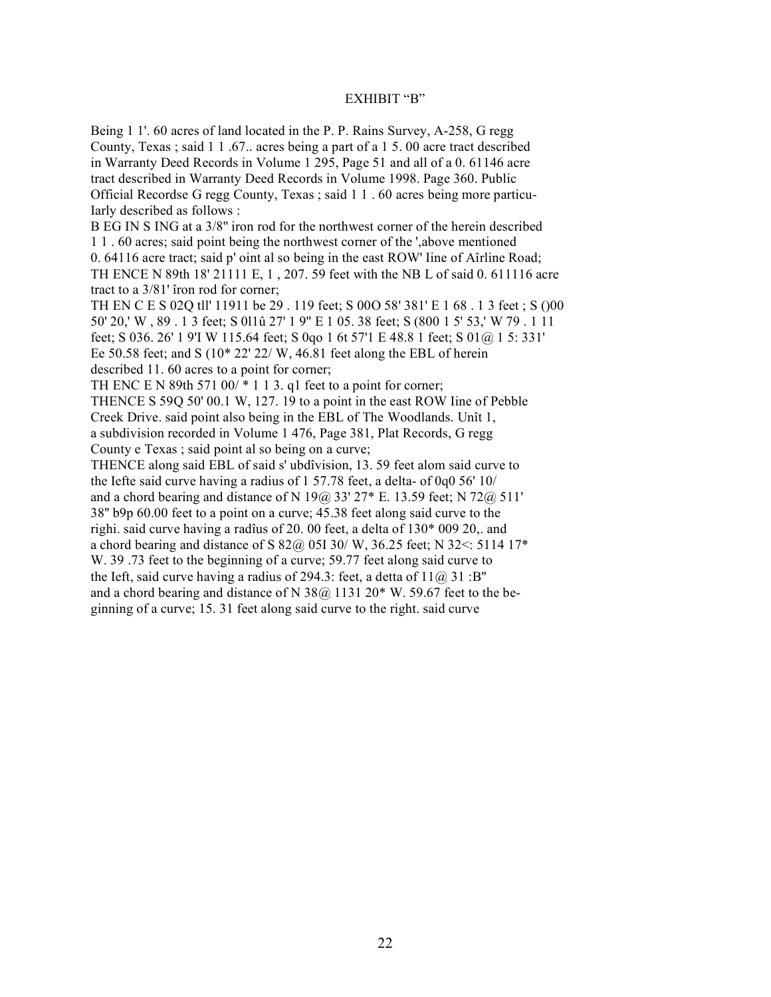## EXHIBIT "B"

Being 1 1'. 60 acres of land located in the P. P. Rains Survey, A-258, G regg County, Texas ; said 1 1 .67.. acres being a part of a 1 5. 00 acre tract described in Warranty Deed Records in Volume 1 295, Page 51 and all of a 0. 61146 acre tract described in Warranty Deed Records in Volume 1998. Page 360. Public Official Recordse G regg County, Texas ; said 1 1 . 60 acres being more particu-Iarly described as follows :

B EG IN S ING at a 3/8'' iron rod for the northwest corner of the herein described 1 1 . 60 acres; said point being the northwest corner of the ',above mentioned 0. 64116 acre tract; said p' oint al so being in the east ROW' Iine of Aîrline Road; TH ENCE N 89th 18' 21111 E, 1 , 207. 59 feet with the NB L of said 0. 611116 acre tract to a 3/81' îron rod for corner;

TH EN C E S 02Q tll' 11911 be 29 . 119 feet; S 00O 58' 381' E 1 68 . 1 3 feet ; S ()00 50' 20,' W , 89 . 1 3 feet; S 0l1û 27' 1 9'' E 1 05. 38 feet; S (800 1 5' 53,' W 79 . 1 11 feet; S 036. 26' 1 9'I W 115.64 feet; S 0qo 1 6t 57'1 E 48.8 1 feet; S 01@ 1 5: 331' Ee 50.58 feet; and S (10\* 22' 22/ W, 46.81 feet along the EBL of herein described 11. 60 acres to a point for corner;

TH ENC E N 89th 571 00/ \* 1 1 3. q1 feet to a point for corner;

THENCE S 59Q 50' 00.1 W, 127. 19 to a point in the east ROW Iine of Pebble Creek Drive. said point also being in the EBL of The Woodlands. Unît 1, a subdivision recorded in Volume 1 476, Page 381, Plat Records, G regg County e Texas ; said point al so being on a curve;

THENCE along said EBL of said s' ubdîvision, 13. 59 feet alom said curve to the Iefte said curve having a radius of 1 57.78 feet, a delta- of 0q0 56' 10/ and a chord bearing and distance of N 19 $@$  33' 27\* E. 13.59 feet; N 72 $@$  511' 38'' b9p 60.00 feet to a point on a curve; 45.38 feet along said curve to the righi. said curve having a radîus of 20. 00 feet, a delta of 130\* 009 20,. and a chord bearing and distance of S  $82@$  05I 30/ W, 36.25 feet; N 32<: 5114 17<sup>\*</sup> W. 39 .73 feet to the beginning of a curve; 59.77 feet along said curve to the Ieft, said curve having a radius of 294.3: feet, a detta of  $11\omega$ ,  $31\cdot B''$ and a chord bearing and distance of N  $38\omega$  1131 20\* W. 59.67 feet to the beginning of a curve; 15. 31 feet along said curve to the right. said curve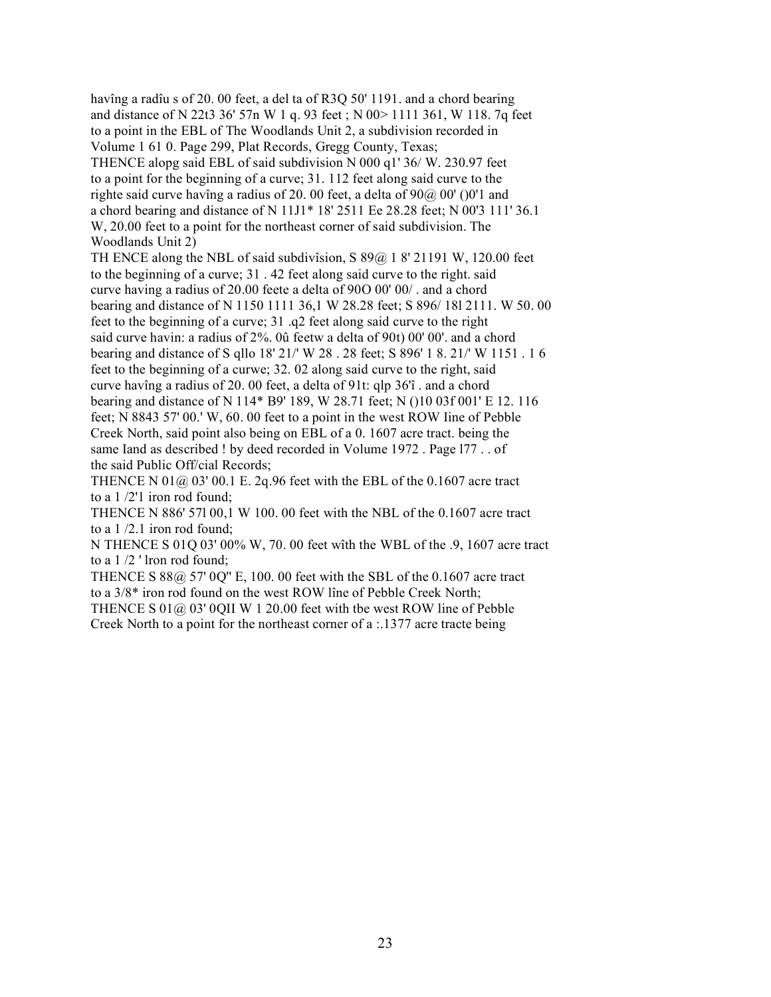havîng a radîu s of 20. 00 feet, a del ta of R3Q 50' 1191. and a chord bearing and distance of N 22t3 36' 57n W 1 q. 93 feet ; N 00> 1111 361, W 118. 7q feet to a point in the EBL of The Woodlands Unit 2, a subdivision recorded in Volume 1 61 0. Page 299, Plat Records, Gregg County, Texas; THENCE alopg said EBL of said subdivision N 000 q1' 36/ W. 230.97 feet to a point for the beginning of a curve; 31. 112 feet along said curve to the righte said curve havîng a radius of 20. 00 feet, a delta of  $90\omega$  00' ()0'1 and a chord bearing and distance of N 11J1\* 18' 2511 Ee 28.28 feet; N 00'3 111' 36.1 W, 20.00 feet to a point for the northeast corner of said subdivision. The Woodlands Unit 2)

TH ENCE along the NBL of said subdivîsion, S 89@ 1 8' 21191 W, 120.00 feet to the beginning of a curve; 31 . 42 feet along said curve to the right. said curve having a radius of 20.00 feete a delta of 90O 00' 00/ . and a chord bearing and distance of N 1150 1111 36,1 W 28.28 feet; S 896/ 18l 2111. W 50. 00 feet to the beginning of a curve; 31 .q2 feet along said curve to the right said curve havin: a radius of 2%. 0û feetw a delta of 90t) 00' 00'. and a chord bearing and distance of S qllo 18' 21/' W 28 . 28 feet; S 896' 1 8. 21/' W 1151 . 1 6 feet to the beginning of a curwe; 32. 02 along said curve to the right, said curve havîng a radius of 20. 00 feet, a delta of 91t: qlp 36'î . and a chord bearing and distance of N 114\* B9' 189, W 28.71 feet; N ()10 03f 001' E 12. 116 feet; N 8843 57' 00.' W, 60. 00 feet to a point in the west ROW Iine of Pebble Creek North, said point also being on EBL of a 0. 1607 acre tract. being the same Iand as described ! by deed recorded in Volume 1972 . Page l77 . . of the said Public Off/cial Records;

THENCE N  $01@03'00.1$  E. 2q.96 feet with the EBL of the 0.1607 acre tract to a 1 /2'1 iron rod found;

THENCE N 886' 57l 00,1 W 100. 00 feet with the NBL of the 0.1607 acre tract to a 1 /2.1 iron rod found;

N THENCE S 01Q 03' 00% W, 70. 00 feet wîth the WBL of the .9, 1607 acre tract to a 1 /2 ' lron rod found;

THENCE S  $88@$  57' 0O" E, 100. 00 feet with the SBL of the 0.1607 acre tract to a 3/8\* iron rod found on the west ROW lîne of Pebble Creek North; THENCE S 01@ 03' 0OII W 1 20.00 feet with the west ROW line of Pebble Creek North to a point for the northeast corner of a :.1377 acre tracte being